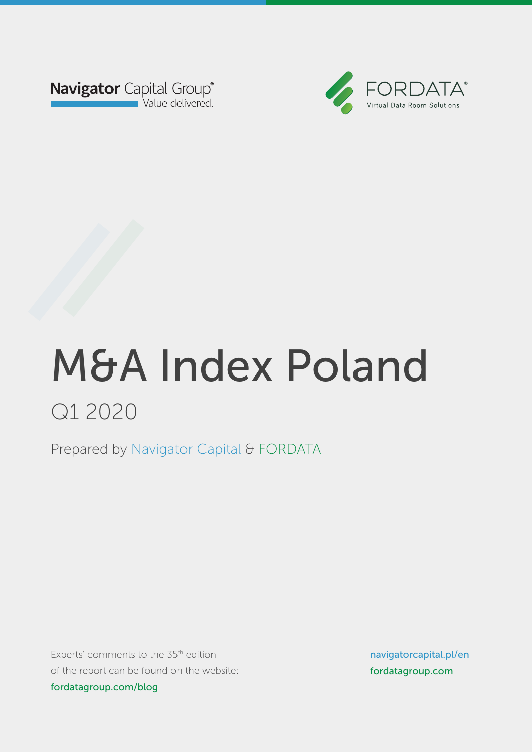



Prepared by Navigator Capital & FORDATA Prepared by Navigator Capital & FORDATA

Experts' comments to the 35<sup>th</sup> edition of the report can be found on the website: fordatagroup.com/blog

navigatorcapital.p/en navigatorcapital.pl/en fordatagroup.com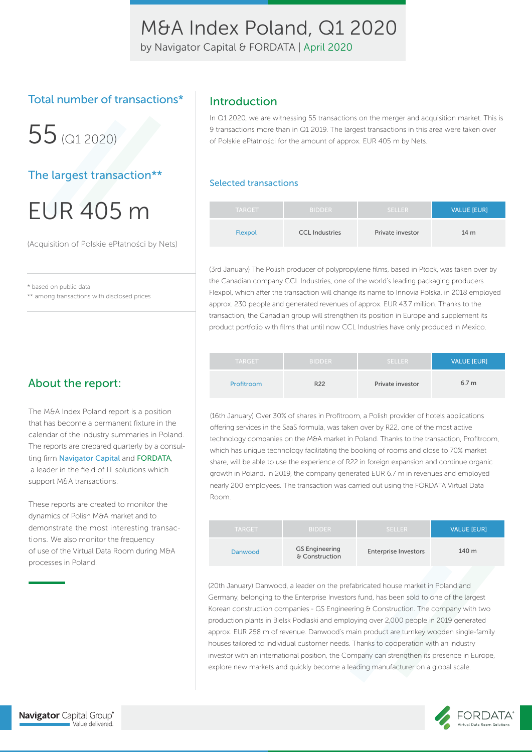by Navigator Capital & FORDATA | April 2020

### Total number of transactions\*

 $55$  (Q1 2020)

The largest transaction\*\*

# EUR 405 m

(Acquisition of Polskie ePłatności by Nets)

\* based on public data

\*\* among transactions with disclosed prices

### Introduction

In Q1 2020, we are witnessing 55 transactions on the merger and acquisition market. This is 9 transactions more than in Q1 2019. The largest transactions in this area were taken over of Polskie ePłatności for the amount of approx. EUR 405 m by Nets.

#### Selected transactions

| <b>TARGET</b> | <b>BIDDER</b>         | <b>SELLER</b>    | <b>VALUE [EUR]</b> |
|---------------|-----------------------|------------------|--------------------|
| Flexpol       | <b>CCL Industries</b> | Private investor | 14 <sub>m</sub>    |

(3rd January) The Polish producer of polypropylene films, based in Płock, was taken over by the Canadian company CCL Industries, one of the world's leading packaging producers. Flexpol, which after the transaction will change its name to Innovia Polska, in 2018 employed approx. 230 people and generated revenues of approx. EUR 43.7 million. Thanks to the transaction, the Canadian group will strengthen its position in Europe and supplement its product portfolio with films that until now CCL Industries have only produced in Mexico.

| <b>TARGET</b> | <b>BIDDER</b>   | <b>SELLER</b>    | <b>VALUE [EUR]</b> |
|---------------|-----------------|------------------|--------------------|
| Profitroom    | R <sub>22</sub> | Private investor | 6.7 <sub>m</sub>   |

(16th January) Over 30% of shares in Profitroom, a Polish provider of hotels applications offering services in the SaaS formula, was taken over by R22, one of the most active technology companies on the M&A market in Poland. Thanks to the transaction, Profitroom, which has unique technology facilitating the booking of rooms and close to 70% market share, will be able to use the experience of R22 in foreign expansion and continue organic growth in Poland. In 2019, the company generated EUR 6.7 m in revenues and employed nearly 200 employees. The transaction was carried out using the FORDATA Virtual Data Room.

| <b>TARGET</b> | <b>BIDDER</b>                           | <b>SELLER</b>               | <b>VALUE [EUR]</b> |
|---------------|-----------------------------------------|-----------------------------|--------------------|
| Danwood       | <b>GS Engineering</b><br>& Construction | <b>Enterprise Investors</b> | 140 m              |

(20th January) Danwood, a leader on the prefabricated house market in Poland and Germany, belonging to the Enterprise Investors fund, has been sold to one of the largest Korean construction companies - GS Engineering & Construction. The company with two production plants in Bielsk Podlaski and employing over 2,000 people in 2019 generated approx. EUR 258 m of revenue. Danwood's main product are turnkey wooden single-family houses tailored to individual customer needs. Thanks to cooperation with an industry investor with an international position, the Company can strengthen its presence in Europe, explore new markets and quickly become a leading manufacturer on a global scale.

### About the report:

The M&A Index Poland report is a position that has become a permanent fixture in the calendar of the industry summaries in Poland. The reports are prepared quarterly by a consulting firm Navigator Capital and FORDATA, a leader in the field of IT solutions which support M&A transactions.

These reports are created to monitor the dynamics of Polish M&A market and to demonstrate the most interesting transactions. We also monitor the frequency of use of the Virtual Data Room during M&A processes in Poland.

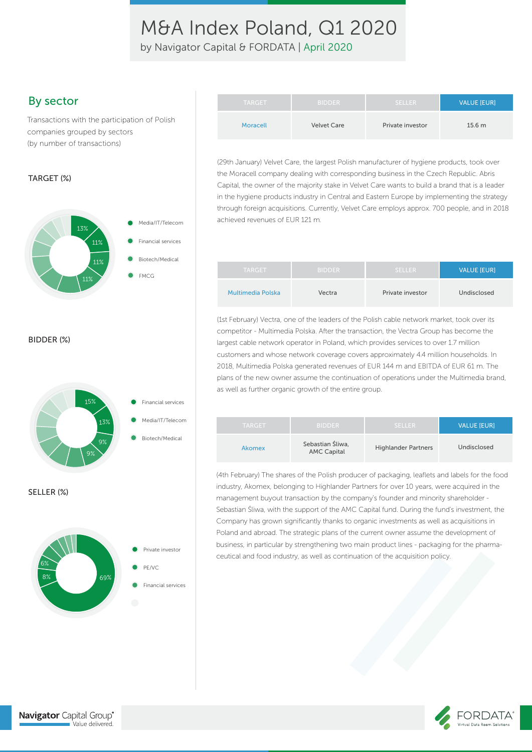by Navigator Capital & FORDATA | April 2020

### By sector

Transactions with the participation of Polish companies grouped by sectors (by number of transactions)

#### TARGET (%)



BIDDER (%)



| <b>TARGET</b> | <b>BIDDER</b>      | <b>SELLER</b>    | <b>VALUE [EUR]</b> |
|---------------|--------------------|------------------|--------------------|
| Moracell      | <b>Velvet Care</b> | Private investor | 15.6 <sub>m</sub>  |

(29th January) Velvet Care, the largest Polish manufacturer of hygiene products, took over the Moracell company dealing with corresponding business in the Czech Republic. Abris Capital, the owner of the majority stake in Velvet Care wants to build a brand that is a leader in the hygiene products industry in Central and Eastern Europe by implementing the strategy through foreign acquisitions. Currently, Velvet Care employs approx. 700 people, and in 2018 achieved revenues of EUR 121 m.

| <b>TARGET</b>     | <b>BIDDER</b> | <b>SELLER</b>    | <b>VALUE [EUR]</b> |
|-------------------|---------------|------------------|--------------------|
| Multimedia Polska | Vectra        | Private investor | Undisclosed        |

(1st February) Vectra, one of the leaders of the Polish cable network market, took over its competitor - Multimedia Polska. After the transaction, the Vectra Group has become the largest cable network operator in Poland, which provides services to over 1.7 million customers and whose network coverage covers approximately 4.4 million households. In 2018, Multimedia Polska generated revenues of EUR 144 m and EBITDA of EUR 61 m. The plans of the new owner assume the continuation of operations under the Multimedia brand, as well as further organic growth of the entire group.

| <b>TARGET</b> | <b>BIDDER</b>                          | <b>SELLER</b>              | <b>VALUE IEURI</b> |
|---------------|----------------------------------------|----------------------------|--------------------|
| Akomex        | Sebastian Sliwa.<br><b>AMC Capital</b> | <b>Highlander Partners</b> | Undisclosed        |

(4th February) The shares of the Polish producer of packaging, leaflets and labels for the food industry, Akomex, belonging to Highlander Partners for over 10 years, were acquired in the management buyout transaction by the company's founder and minority shareholder - Sebastian Śliwa, with the support of the AMC Capital fund. During the fund's investment, the Company has grown significantly thanks to organic investments as well as acquisitions in Poland and abroad. The strategic plans of the current owner assume the development of business, in particular by strengthening two main product lines - packaging for the pharmaceutical and food industry, as well as continuation of the acquisition policy.



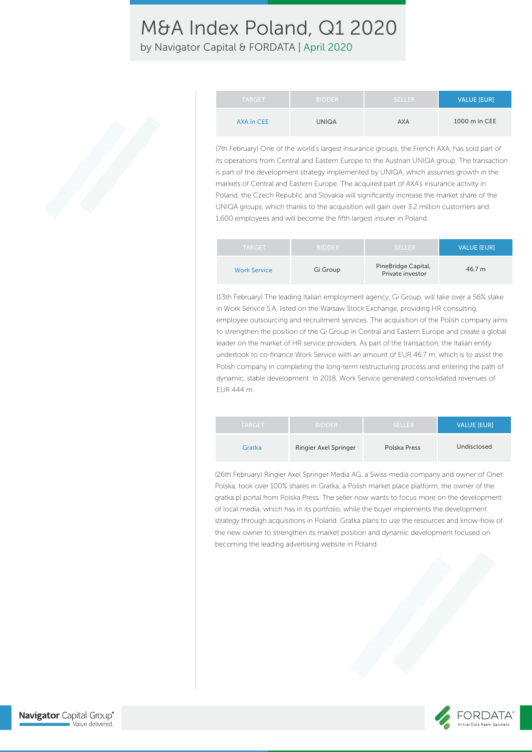by Navigator Capital & FORDATA | April 2020

| <b>TARGET</b>     | <b>BIDDER</b> | <b>SELLER</b> | <b>VALUE [EUR]</b> |
|-------------------|---------------|---------------|--------------------|
| <b>AXA in CEE</b> | UNIQA         | <b>AXA</b>    | 1000 m in CEE      |

(7th February) One of the world's largest insurance groups, the French AXA, has sold part of its operations from Central and Eastern Europe to the Austrian UNIQA group. The transaction is part of the development strategy implemented by UNIQA, which assumes growth in the markets of Central and Eastern Europe. The acquired part of AXA's insurance activity in Poland, the Czech Republic and Slovakia will significantly increase the market share of the UNIQA groups, which thanks to the acquisition will gain over 3.2 million customers and 1,600 employees and will become the fifth largest insurer in Poland.

| <b>TARGET</b>       | <b>BIDDER</b> | <b>SELLER</b>                           | <b>VALUE IEURI</b> |
|---------------------|---------------|-----------------------------------------|--------------------|
| <b>Work Service</b> | Gi Group      | PineBridge Capital,<br>Private investor | 46.7 m             |

(13th February) The leading Italian employment agency, Gi Group, will take over a 56% stake in Work Serivce S.A, listed on the Warsaw Stock Exchange, providing HR consulting, employee outsourcing and recruitment services. The acquisition of the Polish company aims to strengthen the position of the Gi Group in Central and Eastern Europe and create a global leader on the market of HR service providers. As part of the transaction, the Italian entity undertook to co-finance Work Service with an amount of EUR 46.7 m, which is to assist the Polish company in completing the long-term restructuring process and entering the path of dynamic, stable development. In 2018, Work Service generated consolidated revenues of EUR 444 m.

| <b>TARGET</b> | <b>BIDDER</b>         | <b>SELLER</b> | <b>VALUE [EUR]</b> |
|---------------|-----------------------|---------------|--------------------|
| Gratka        | Ringier Axel Springer | Polska Press  | Undisclosed        |

(26th February) Ringier Axel Springer Media AG, a Swiss media company and owner of Onet Polska, took over 100% shares in Gratka, a Polish market place platform, the owner of the gratka.pl portal from Polska Press. The seller now wants to focus more on the development of local media, which has in its portfolio, while the buyer implements the development strategy through acquisitions in Poland. Gratka plans to use the resources and know-how of the new owner to strengthen its market position and dynamic development focused on becoming the leading advertising website in Poland.

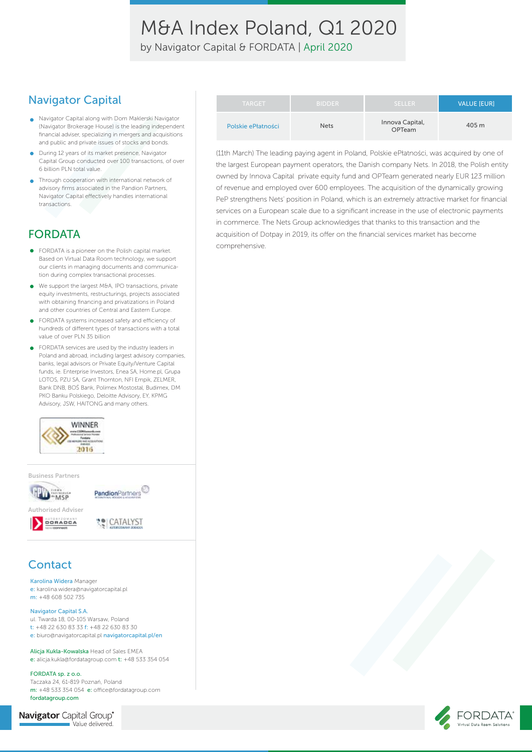by Navigator Capital & FORDATA | April 2020

### Navigator Capital

- Navigator Capital along with Dom Maklerski Navigator (Navigator Brokerage House) is the leading independent financial adviser, specializing in mergers and acquisitions and public and private issues of stocks and bonds.
- **O** During 12 years of its market presence, Navigator Capital Group conducted over 100 transactions, of over 6 billion PLN total value.
- Through cooperation with international network of  $\bullet$ advisory firms associated in the Pandion Partners, Navigator Capital effectively handles international transactions.

## FORDATA

- FORDATA is a pioneer on the Polish capital market. Based on Virtual Data Room technology, we support our clients in managing documents and communication during complex transactional processes.
- We support the largest M&A, IPO transactions, private  $\bullet$ equity investments, restructurings, projects associated with obtaining financing and privatizations in Poland and other countries of Central and Eastern Europe.
- FORDATA systems increased safety and efficiency of hundreds of different types of transactions with a total value of over PLN 35 billion
- FORDATA services are used by the industry leaders in Poland and abroad, including largest advisory companies, banks, legal advisors or Private Equity/Venture Capital funds, ie. Enterprise Investors, Enea SA, Home pl, Grupa LOTOS, PZU SA, Grant Thornton, NFI Empik, ZELMER, Bank DNB, BOŚ Bank, Polimex Mostostal, Budimex, DM PKO Banku Polskiego, Deloitte Advisory, EY, KPMG Advisory, JSW, HAITONG and many others.



Business Partners





### **Contact**

Karolina Widera Manager e: karolina.widera@navigatorcapital.pl m: +48 608 502 735

#### Navigator Capital S.A.

ul. Twarda 18, 00-105 Warsaw, Poland t: +48 22 630 83 33 f: +48 22 630 83 30 e: biuro@navigatorcapital.pl navigatorcapital.pl/en

Alicja Kukla-Kowalska Head of Sales EMEA e: alicja.kukla@fordatagroup.com t: +48 533 354 054

FORDATA sp. z o.o. Taczaka 24, 61-819 Poznań, Poland m: +48 533 354 054 e: office@fordatagroup.com fordatagroup.com

Navigator Capital Group® Value delivered.

| <b>TARGET</b>      | <b>BIDDER</b> | 'SELLER                          | VALUE [EUR] |
|--------------------|---------------|----------------------------------|-------------|
| Polskie ePłatności | <b>Nets</b>   | Innova Capital,<br><b>OPTeam</b> | 405 m       |

(11th March) The leading paying agent in Poland, Polskie ePłatności, was acquired by one of the largest European payment operators, the Danish company Nets. In 2018, the Polish entity owned by Innova Capital private equity fund and OPTeam generated nearly EUR 123 million of revenue and employed over 600 employees. The acquisition of the dynamically growing PeP strengthens Nets' position in Poland, which is an extremely attractive market for financial services on a European scale due to a significant increase in the use of electronic payments in commerce. The Nets Group acknowledges that thanks to this transaction and the acquisition of Dotpay in 2019, its offer on the financial services market has become comprehensive.

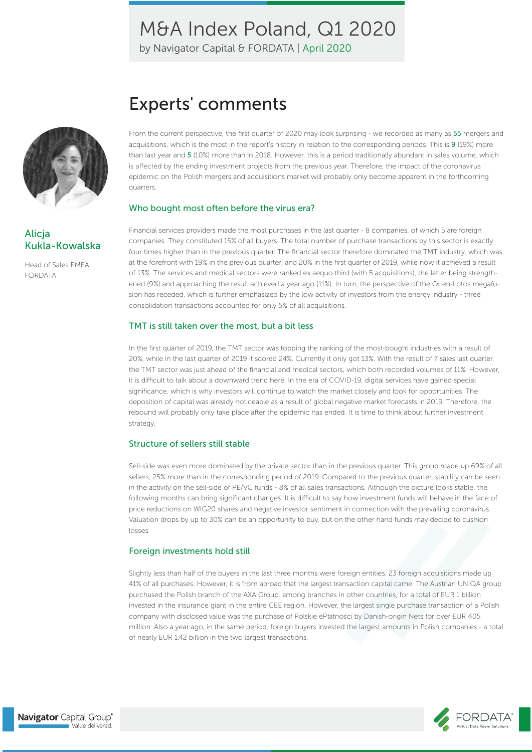by Navigator Capital & FORDATA | April 2020



### Alicja Kukla-Kowalska

Head of Sales EMEA FORDATA

From the current perspective, the first quarter of 2020 may look surprising - we recorded as many as 55 mergers and acquisitions, which is the most in the report's history in relation to the corresponding periods. This is 9 (19%) more than last year and 5 (10%) more than in 2018. However, this is a period traditionally abundant in sales volume, which is affected by the ending investment projects from the previous year. Therefore, the impact of the coronavirus epidemic on the Polish mergers and acquisitions market will probably only become apparent in the forthcoming quarters.

#### Who bought most often before the virus era?

Experts' comments

Financial services providers made the most purchases in the last quarter - 8 companies, of which 5 are foreign companies. They constituted 15% of all buyers. The total number of purchase transactions by this sector is exactly four times higher than in the previous quarter. The financial sector therefore dominated the TMT industry, which was at the forefront with 19% in the previous quarter, and 20% in the first quarter of 2019, while now it achieved a result of 13%. The services and medical sectors were ranked ex aequo third (with 5 acquisitions), the latter being strengthened (9%) and approaching the result achieved a year ago (11%). In turn, the perspective of the Orlen-Lotos megafusion has receded, which is further emphasized by the low activity of investors from the energy industry - three consolidation transactions accounted for only 5% of all acquisitions.

#### TMT is still taken over the most, but a bit less

In the first quarter of 2019, the TMT sector was topping the ranking of the most-bought industries with a result of 20%, while in the last quarter of 2019 it scored 24%. Currently it only got 13%. With the result of 7 sales last quarter, the TMT sector was just ahead of the financial and medical sectors, which both recorded volumes of 11%. However, it is difficult to talk about a downward trend here. In the era of COVID-19, digital services have gained special significance, which is why investors will continue to watch the market closely and look for opportunities. The deposition of capital was already noticeable as a result of global negative market forecasts in 2019. Therefore, the rebound will probably only take place after the epidemic has ended. It is time to think about further investment strategy.

#### Structure of sellers still stable

Sell-side was even more dominated by the private sector than in the previous quarter. This group made up 69% of all sellers, 25% more than in the corresponding period of 2019. Compared to the previous quarter, stability can be seen in the activity on the sell-side of PE/VC funds - 8% of all sales transactions. Although the picture looks stable, the following months can bring significant changes. It is difficult to say how investment funds will behave in the face of price reductions on WIG20 shares and negative investor sentiment in connection with the prevailing coronavirus. Valuation drops by up to 30% can be an opportunity to buy, but on the other hand funds may decide to cushion losses.

#### Foreign investments hold still

Slightly less than half of the buyers in the last three months were foreign entities. 23 foreign acquisitions made up 41% of all purchases. However, it is from abroad that the largest transaction capital came. The Austrian UNIQA group purchased the Polish branch of the AXA Group, among branches in other countries, for a total of EUR 1 billion invested in the insurance giant in the entire CEE region. However, the largest single purchase transaction of a Polish company with disclosed value was the purchase of Polskie ePłatności by Danish-origin Nets for over EUR 405 million. Also a year ago, in the same period, foreign buyers invested the largest amounts in Polish companies - a total of nearly EUR 1.42 billion in the two largest transactions.

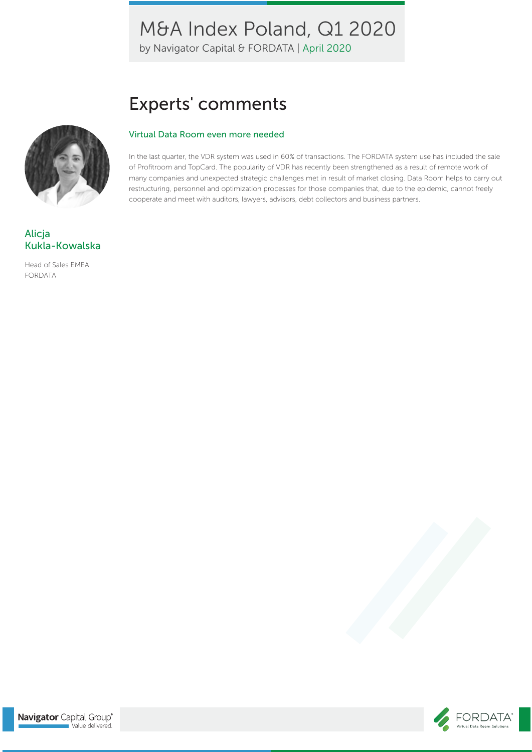by Navigator Capital & FORDATA | April 2020

# Experts' comments

#### Virtual Data Room even more needed

In the last quarter, the VDR system was used in 60% of transactions. The FORDATA system use has included the sale of Profitroom and TopCard. The popularity of VDR has recently been strengthened as a result of remote work of many companies and unexpected strategic challenges met in result of market closing. Data Room helps to carry out restructuring, personnel and optimization processes for those companies that, due to the epidemic, cannot freely cooperate and meet with auditors, lawyers, advisors, debt collectors and business partners.



### Alicja Kukla-Kowalska

Head of Sales EMEA FORDATA